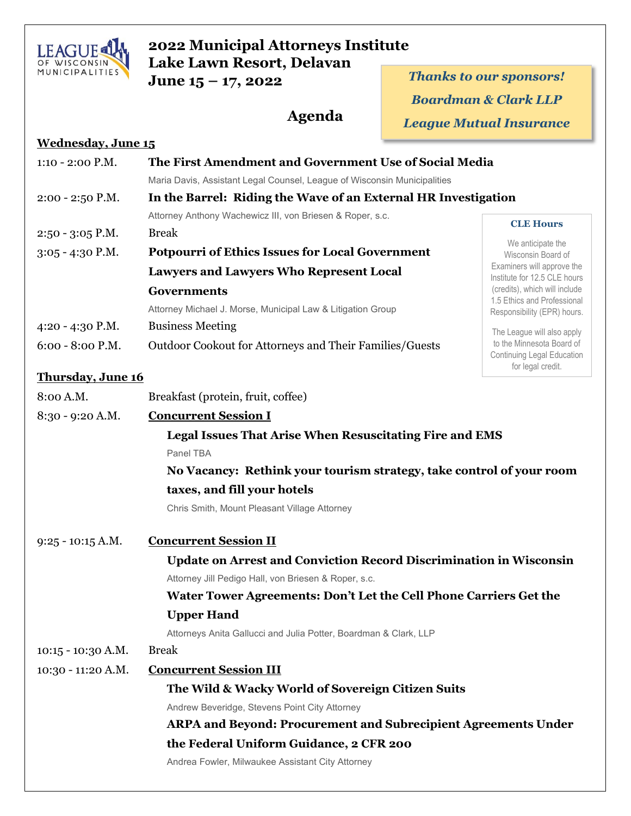

**Wednesday, June 15**

## **2022 Municipal Attorneys Institute Lake Lawn Resort, Delavan**

**June 15 – 17, 2022** *Thanks to our sponsors! Boardman & Clark LLP League Mutual Insurance* **Agenda**

| 1:10 - 2:00 P.M.         | The First Amendment and Government Use of Social Media                    |                                                                              |
|--------------------------|---------------------------------------------------------------------------|------------------------------------------------------------------------------|
|                          | Maria Davis, Assistant Legal Counsel, League of Wisconsin Municipalities  |                                                                              |
| $2:00 - 2:50$ P.M.       | In the Barrel: Riding the Wave of an External HR Investigation            |                                                                              |
|                          | Attorney Anthony Wachewicz III, von Briesen & Roper, s.c.                 | <b>CLE Hours</b>                                                             |
| $2:50 - 3:05$ P.M.       | <b>Break</b>                                                              |                                                                              |
| $3:05 - 4:30$ P.M.       | <b>Potpourri of Ethics Issues for Local Government</b>                    | We anticipate the<br>Wisconsin Board of                                      |
|                          | <b>Lawyers and Lawyers Who Represent Local</b>                            | Examiners will approve the<br>Institute for 12.5 CLE hours                   |
|                          | <b>Governments</b>                                                        | (credits), which will include                                                |
|                          | Attorney Michael J. Morse, Municipal Law & Litigation Group               | 1.5 Ethics and Professional<br>Responsibility (EPR) hours.                   |
| 4:20 - 4:30 P.M.         | <b>Business Meeting</b>                                                   | The League will also apply                                                   |
| 6:00 - 8:00 P.M.         | Outdoor Cookout for Attorneys and Their Families/Guests                   | to the Minnesota Board of<br>Continuing Legal Education<br>for legal credit. |
| <b>Thursday, June 16</b> |                                                                           |                                                                              |
| 8:00 A.M.                | Breakfast (protein, fruit, coffee)                                        |                                                                              |
| 8:30 - 9:20 A.M.         | <b>Concurrent Session I</b>                                               |                                                                              |
|                          | <b>Legal Issues That Arise When Resuscitating Fire and EMS</b>            |                                                                              |
|                          | Panel TBA                                                                 |                                                                              |
|                          | No Vacancy: Rethink your tourism strategy, take control of your room      |                                                                              |
|                          | taxes, and fill your hotels                                               |                                                                              |
|                          | Chris Smith, Mount Pleasant Village Attorney                              |                                                                              |
| $9:25 - 10:15$ A.M.      | <b>Concurrent Session II</b>                                              |                                                                              |
|                          | <b>Update on Arrest and Conviction Record Discrimination in Wisconsin</b> |                                                                              |
|                          | Attorney Jill Pedigo Hall, von Briesen & Roper, s.c.                      |                                                                              |
|                          | Water Tower Agreements: Don't Let the Cell Phone Carriers Get the         |                                                                              |
|                          | <b>Upper Hand</b>                                                         |                                                                              |
|                          | Attorneys Anita Gallucci and Julia Potter, Boardman & Clark, LLP          |                                                                              |
| $10:15 - 10:30$ A.M.     | <b>Break</b>                                                              |                                                                              |
| $10:30 - 11:20$ A.M.     | <b>Concurrent Session III</b>                                             |                                                                              |
|                          | The Wild & Wacky World of Sovereign Citizen Suits                         |                                                                              |
|                          | Andrew Beveridge, Stevens Point City Attorney                             |                                                                              |
|                          | <b>ARPA and Beyond: Procurement and Subrecipient Agreements Under</b>     |                                                                              |
|                          | the Federal Uniform Guidance, 2 CFR 200                                   |                                                                              |
|                          | Andrea Fowler, Milwaukee Assistant City Attorney                          |                                                                              |